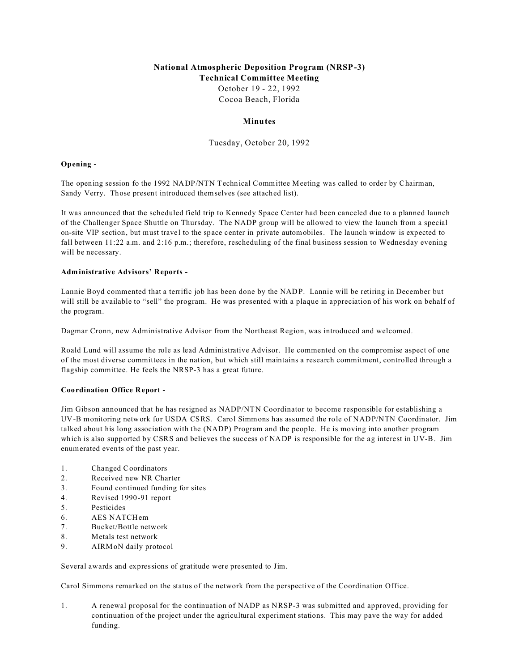## **National Atmospheric Deposition Program (NRSP-3) Technical Committee Meeting** October 19 - 22, 1992

Cocoa Beach, Florida

## **Minutes**

Tuesday, October 20, 1992

### **Opening -**

The opening session fo the 1992 NADP/NTN Technical Committee Meeting was called to order by Chairman, Sandy Verry. Those present introduced themselves (see attached list).

It was announced that the scheduled field trip to Kennedy Space Center had been canceled due to a planned launch of the Challenger Space Shuttle on Thursday. The NADP group will be allowed to view the launch from a special on-site VIP section, but must travel to the space center in private automobiles. The launch window is expected to fall between 11:22 a.m. and 2:16 p.m.; therefore, rescheduling of the final business session to Wednesday evening will be necessary.

#### **Administrative Advisors' Reports -**

Lannie Boyd commented that a terrific job has been done by the NADP. Lannie will be retiring in December but will still be available to "sell" the program. He was presented with a plaque in appreciation of his work on behalf of the program.

Dagmar Cronn, new Administrative Advisor from the Northeast Region, was introduced and welcomed.

Roald Lund will assume the role as lead Administrative Advisor. He commented on the compromise aspect of one of the most diverse committees in the nation, but which still maintains a research commitment, controlled through a flagship committee. He feels the NRSP-3 has a great future.

### **Coordination Office Report -**

Jim Gibson announced that he has resigned as NADP/NTN Coordinator to become responsible for establishing a UV-B monitoring network for USDA CSRS. Carol Simmons has assumed the role of NADP/NTN Coordinator. Jim talked about his long association with the (NADP) Program and the people. He is moving into another program which is also supported by CSRS and believes the success of NADP is responsible for the ag interest in UV-B. Jim enumerated events of the past year.

- 1. Changed Coordinators
- 2. Received new NR Charter
- 3. Found continued funding for sites
- 4. Revised 1990-91 report
- 5. Pesticides
- 6. AES NATCHem
- 7. Bucket/Bottle network
- 8. Metals test network
- 9. AIRMoN daily protocol

Several awards and expressions of gratitude were presented to Jim.

Carol Simmons remarked on the status of the network from the perspective of the Coordination Office.

1. A renewal proposal for the continuation of NADP as NRSP-3 was submitted and approved, providing for continuation of the project under the agricultural experiment stations. This may pave the way for added funding.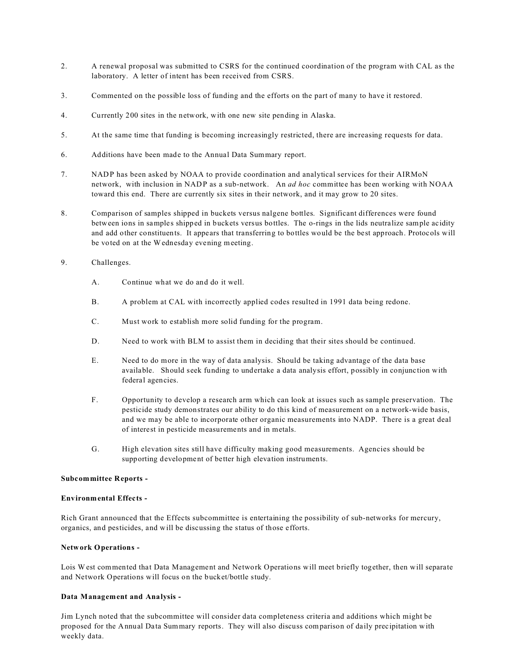- 2. A renewal proposal was submitted to CSRS for the continued coordination of the program with CAL as the laboratory. A letter of intent has been received from CSRS.
- 3. Commented on the possible loss of funding and the efforts on the part of many to have it restored.
- 4. Currently 200 sites in the network, with one new site pending in Alaska.
- 5. At the same time that funding is becoming increasingly restricted, there are increasing requests for data.
- 6. Additions have been made to the Annual Data Summary report.
- 7. NADP has been asked by NOAA to provide coordination and analytical services for their AIRMoN network, with inclusion in NADP as a sub-network. An *ad hoc* committee has been working with NOAA toward this end. There are currently six sites in their network, and it may grow to 20 sites.
- 8. Comparison of samples shipped in buckets versus nalgene bottles. Significant differences were found between ions in samples shipped in buckets versus bottles. The o-rings in the lids neutralize sample acidity and add other constituents. It appears that transferring to bottles would be the best approach. Protocols will be voted on at the Wednesday evening meeting.
- 9. Challenges.
	- A. Continue what we do and do it well.
	- B. A problem at CAL with incorrectly applied codes resulted in 1991 data being redone.
	- C. Must work to establish more solid funding for the program.
	- D. Need to work with BLM to assist them in deciding that their sites should be continued.
	- E. Need to do more in the way of data analysis. Should be taking advantage of the data base available. Should seek funding to undertake a data analysis effort, possibly in conjunction with federal agencies.
	- F. Opportunity to develop a research arm which can look at issues such as sample preservation. The pesticide study demonstrates our ability to do this kind of measurement on a network-wide basis, and we may be able to incorporate other organic measurements into NADP. There is a great deal of interest in pesticide measurements and in metals.
	- G. High elevation sites still have difficulty making good measurements. Agencies should be supporting development of better high elevation instruments.

#### **Subcommittee Reports -**

#### **Environmental Effects -**

Rich Grant announced that the Effects subcommittee is entertaining the possibility of sub-networks for mercury, organics, and pesticides, and will be discussing the status of those efforts.

#### **Network Operations -**

Lois W est commented that Data Management and Network Operations will meet briefly together, then will separate and Network Operations will focus on the bucket/bottle study.

#### **Data Management and Analysis -**

Jim Lynch noted that the subcommittee will consider data completeness criteria and additions which might be proposed for the Annual Data Summary reports. They will also discuss comparison of daily precipitation with weekly data.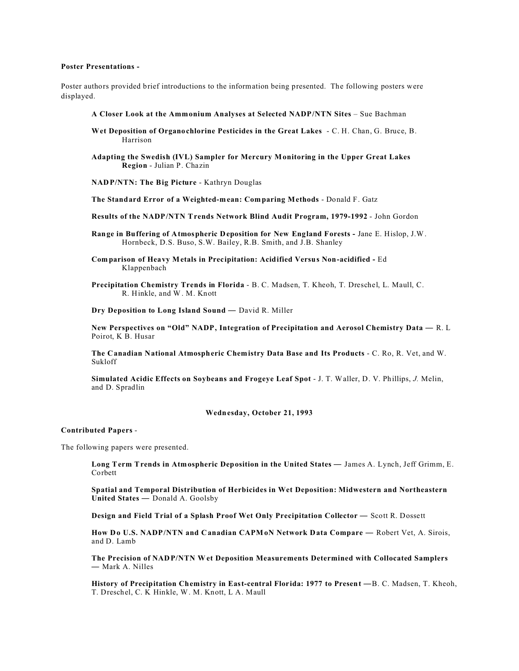#### **Poster Presentations -**

Poster authors provided brief introductions to the information being presented. The following posters were displayed.

- **A Closer Look at the Ammonium Analyses at Selected NADP/NTN Sites** Sue Bachman
- **Wet Deposition of Organochlorine Pesticides in the Great Lakes**  C. H. Chan, G. Bruce, B. Harrison
- **Adapting the Swedish (IVL) Sampler for Mercury Monitoring in the Upper Great Lakes Region** - Julian P. Chazin
- **NADP/NTN: The Big Picture** Kathryn Douglas

**The Standard Error of a Weighted-mean: Comparing Methods** - Donald F. Gatz

- **Results of the NADP/NTN Trends Network Blind Audit Program, 1979-1992** John Gordon
- **Range in Buffering of Atmospheric Deposition for New England Forests** Jane E. Hislop, J.W. Hornbeck, D.S. Buso, S.W. Bailey, R.B. Smith, and J.B. Shanley
- **Comparison of Heavy Metals in Precipitation: Acidified Versus Non-acidified** Ed Klappenbach
- **Precipitation Chemistry Trends in Florida**  B. C. Madsen, T. Kheoh, T. Dreschel, L. Maull, C. R. Hinkle, and W. M. Knott

**Dry Deposition to Long Island Sound** — David R. Miller

**New Perspectives on "Old" NADP, Integration of Precipitation and Aerosol Chemistry Data** — R. L Poirot, K B. Husar

**The Canadian National Atmospheric Chemistry Data Base and Its Products** - C. Ro, R. Vet, and W. Sukloff

**Simulated Acidic Effects on Soybeans and Frogeye Leaf Spot** - J. T. Waller, D. V. Phillips, *J.* Melin, and D. Spradlin

#### **Wednesday, October 21, 1993**

#### **Contributed Papers** -

The following papers were presented.

**Long Term Trends in Atmospheric Deposition in the United States** — James A. Lynch, Jeff Grimm, E. Corbett

**Spatial and Temporal Distribution of Herbicides in Wet Deposition: Midwestern and Northeastern United States** — Donald A. Goolsby

**Design and Field Trial of a Splash Proof Wet Only Precipitation Collector** — Scott R. Dossett

**How Do U.S. NADP/NTN and Canadian CAPMoN Network Data Compare** — Robert Vet, A. Sirois, and D. Lamb

**The Precision of NADP/NTN Wet Deposition Measurements Determined with Collocated Samplers** — Mark A. Nilles

History of Precipitation Chemistry in East-central Florida: 1977 to Present - B. C. Madsen, T. Kheoh, T. Dreschel, C. K Hinkle, W. M. Knott, L A. Maull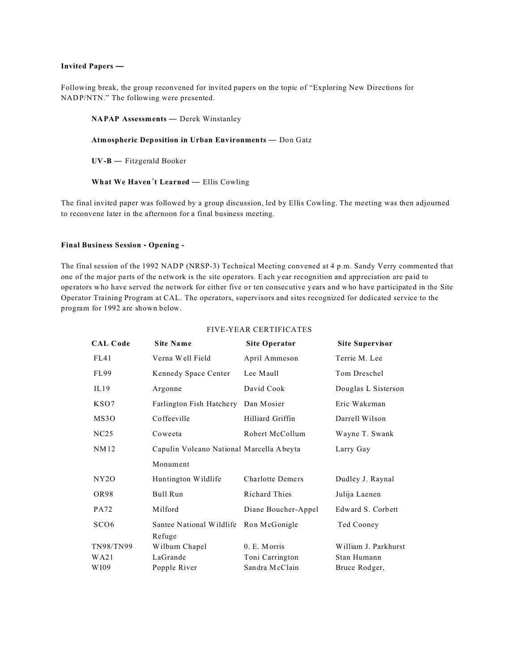#### **Invited Papers —**

Following break, the group reconvened for invited papers on the topic of "Exploring New Directions for NADP/NTN." The following were presented.

#### **NAPAP Assessments** — Derek Winstanley

**Atmospheric Deposition in Urban Environments** — Don Gatz

**UV-B** — Fitzgerald Booker

**What We Haven**\***t Learned** — Ellis Cowling

The final invited paper was followed by a group discussion, led by Ellis Cowling. The meeting was then adjourned to reconvene later in the afternoon for a final business meeting.

#### **Final Business Session - Opening -**

The final session of the 1992 NADP (NRSP-3) Technical Meeting convened at 4 p.m. Sandy Verry commented that one of the major parts of the network is the site operators. Each year recognition and appreciation are paid to operators who have served the network for either five or ten consecutive years and who have participated in the Site Operator Training Program at CAL. The operators, supervisors and sites recognized for dedicated service to the program for 1992 are shown below.

| <b>CAL Code</b>  | <b>Site Name</b>                         | <b>Site Operator</b>    | <b>Site Supervisor</b> |
|------------------|------------------------------------------|-------------------------|------------------------|
| FL41             | Verna Well Field                         | April Ammeson           | Terrie M. Lee          |
| FL99             | Kennedy Space Center                     | Lee Maull               | Tom Dreschel           |
| IL19             | Argonne                                  | David Cook              | Douglas L Sisterson    |
| KSO7             | Farlington Fish Hatchery                 | Dan Mosier              | Eric Wakeman           |
| MS3O             | Coffeeville                              | Hilliard Griffin        | Darrell Wilson         |
| NC25             | Coweeta                                  | Robert McCollum         | Wayne T. Swank         |
| NM12             | Capulin Volcano National Marcella Abeyta |                         | Larry Gay              |
|                  | Monument                                 |                         |                        |
| NY2O             | Huntington Wildlife                      | <b>Charlotte Demers</b> | Dudley J. Raynal       |
| OR98             | Bull Run                                 | <b>Richard Thies</b>    | Julija Laenen          |
| <b>PA72</b>      | Milford                                  | Diane Boucher-Appel     | Edward S. Corbett      |
| SCO <sub>6</sub> | Santee National Wildlife                 | Ron McGonigle           | Ted Cooney             |
|                  | Refuge                                   |                         |                        |
| TN98/TN99        | Wilburn Chapel                           | 0. E. Morris            | William J. Parkhurst   |
| WA21             | LaGrande                                 | Toni Carrington         | Stan Humann            |
| WI09             | Popple River                             | Sandra McClain          | Bruce Rodger,          |

#### FIVE-YEAR CERTIFICATES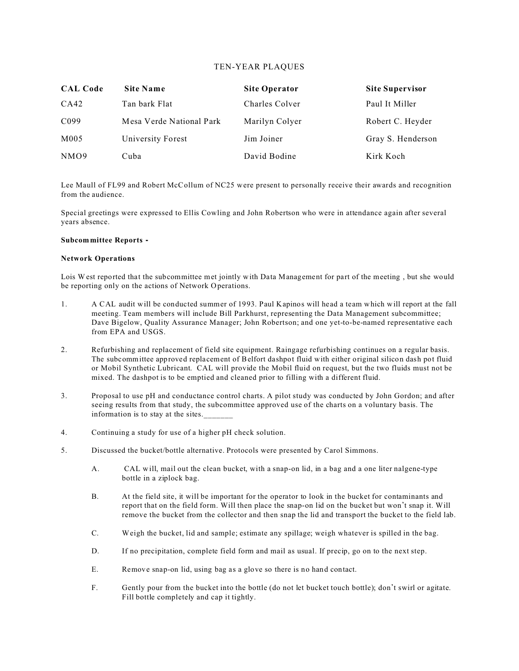## TEN-YEAR PLAQUES

| <b>CAL Code</b>  | <b>Site Name</b>         | <b>Site Operator</b> | <b>Site Supervisor</b> |
|------------------|--------------------------|----------------------|------------------------|
| CA42             | Tan bark Flat            | Charles Colver       | Paul It Miller         |
| C <sub>099</sub> | Mesa Verde National Park | Marilyn Colyer       | Robert C. Heyder       |
| M005             | University Forest        | Jim Joiner           | Gray S. Henderson      |
| NMO <sub>9</sub> | Cuba                     | David Bodine         | Kirk Koch              |

Lee Maull of FL99 and Robert McCollum of NC25 were present to personally receive their awards and recognition from the audience.

Special greetings were expressed to Ellis Cowling and John Robertson who were in attendance again after several years absence.

#### **Subcommittee Reports -**

#### **Network Operations**

Lois W est reported that the subcommittee met jointly with Data Management for part of the meeting , but she would be reporting only on the actions of Network Operations.

- 1. A CAL audit will be conducted summer of 1993. Paul Kapinos will head a team which will report at the fall meeting. Team members will include Bill Parkhurst, representing the Data Management subcommittee; Dave Bigelow, Quality Assurance Manager; John Robertson; and one yet-to-be-named representative each from EPA and USGS.
- 2. Refurbishing and replacement of field site equipment. Raingage refurbishing continues on a regular basis. The subcommittee approved replacement of Belfort dashpot fluid with either original silicon dash pot fluid or Mobil Synthetic Lubricant. CAL will provide the Mobil fluid on request, but the two fluids must not be mixed. The dashpot is to be emptied and cleaned prior to filling with a different fluid.
- 3. Proposal to use pH and conductance control charts. A pilot study was conducted by John Gordon; and after seeing results from that study, the subcommittee approved use of the charts on a voluntary basis. The information is to stay at the sites.
- 4. Continuing a study for use of a higher pH check solution.
- 5. Discussed the bucket/bottle alternative. Protocols were presented by Carol Simmons.
	- A. CAL will, mail out the clean bucket, with a snap-on lid, in a bag and a one liter nalgene-type bottle in a ziplock bag.
	- B. At the field site, it will be important for the operator to look in the bucket for contaminants and report that on the field form. Will then place the snap-on lid on the bucket but won't snap it. Will remove the bucket from the collector and then snap the lid and transport the bucket to the field lab.
	- C. Weigh the bucket, lid and sample; estimate any spillage; weigh whatever is spilled in the bag.
	- D. If no precipitation, complete field form and mail as usual. If precip, go on to the next step.
	- E. Remove snap-on lid, using bag as a glove so there is no hand contact.
	- F. Gently pour from the bucket into the bottle (do not let bucket touch bottle); don't swirl or agitate. Fill bottle completely and cap it tightly.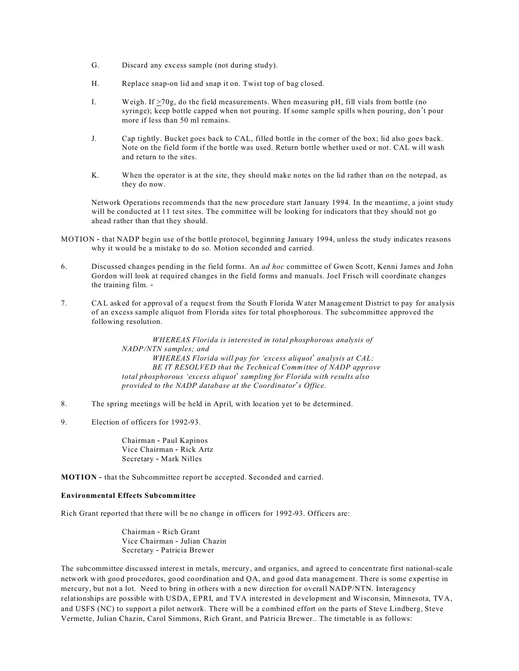- G. Discard any excess sample (not during study).
- H. Replace snap-on lid and snap it on. Twist top of bag closed.
- I. Weigh. If >70g, do the field measurements. When measuring pH, fill vials from bottle (no syringe); keep bottle capped when not pouring. If some sample spills when pouring, don't pour more if less than 50 ml remains.
- J. Cap tightly. Bucket goes back to CAL, filled bottle in the corner of the box; lid also goes back. Note on the field form if the bottle was used. Return bottle whether used or not. CAL will wash and return to the sites.
- K. When the operator is at the site, they should make notes on the lid rather than on the notepad, as they do now.

Network Operations recommends that the new procedure start January 1994. In the meantime, a joint study will be conducted at 11 test sites. The committee will be looking for indicators that they should not go ahead rather than that they should.

- MOTION that NADP begin use of the bottle protocol, beginning January 1994, unless the study indicates reasons why it would be a mistake to do so. Motion seconded and carried.
- 6. Discussed changes pending in the field forms. An *ad hoc* committee of Gwen Scott, Kenni James and John Gordon will look at required changes in the field forms and manuals. Joel Frisch will coordinate changes the training film. -
- 7. CAL asked for approval of a request from the South Florida Water Management District to pay for analysis of an excess sample aliquot from Florida sites for total phosphorous. The subcommittee approved the following resolution.

*WHEREAS Florida is interested in total phosphorous analysis of NADP/NTN samples; and WHEREAS Florida will pay for 'excess aliquot\* analysis at CAL; BE IT RESOLVED that the Technical Committee of NADP approve total phosphorous 'excess aliquot\* sampling for Florida with results also provided to the NADP database at the Coordinator\*s Office.*

- 8. The spring meetings will be held in April, with location yet to be determined.
- 9. Election of officers for 1992-93.

Chairman - Paul Kapinos Vice Chairman - Rick Artz Secretary - Mark Nilles

**MOTION** - that the Subcommittee report be accepted. Seconded and carried.

## **Environmental Effects Subcommittee**

Rich Grant reported that there will be no change in officers for 1992-93. Officers are:

Chairman - Rich Grant Vice Chairman - Julian Chazin Secretary - Patricia Brewer

The subcommittee discussed interest in metals, mercury, and organics, and agreed to concentrate first national-scale network with good procedures, good coordination and QA, and good data management. There is some expertise in mercury, but not a lot. Need to bring in others with a new direction for overall NADP/NTN. Interagency relationships are possible with USDA, EPRI, and TVA interested in development and Wisconsin, Minnesota, TVA, and USFS (NC) to support a pilot network. There will be a combined effort on the parts of Steve Lindberg, Steve Vermette, Julian Chazin, Carol Simmons, Rich Grant, and Patricia Brewer.. The timetable is as follows: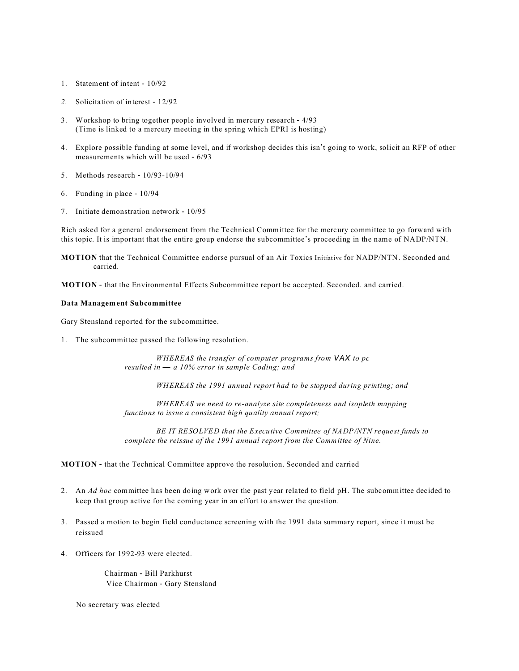- 1. Statement of intent 10/92
- *2.* Solicitation of interest 12/92
- 3. Workshop to bring together people involved in mercury research 4/93 (Time is linked to a mercury meeting in the spring which EPRI is hosting)
- 4. Explore possible funding at some level, and if workshop decides this isn't going to work, solicit an RFP of other measurements which will be used - 6/93
- 5. Methods research 10/93-10/94
- 6. Funding in place 10/94
- 7. Initiate demonstration network 10/95

Rich asked for a general endorsement from the Technical Committee for the mercury committee to go forward with this topic. It is important that the entire group endorse the subcommittee's proceeding in the name of NADP/NTN.

**MOTION** that the Technical Committee endorse pursual of an Air Toxics Initiative for NADP/NTN. Seconded and carried.

**MOTION** - that the Environmental Effects Subcommittee report be accepted. Seconded. and carried.

#### **Data Management Subcommittee**

Gary Stensland reported for the subcommittee.

1. The subcommittee passed the following resolution.

*WHEREAS the transfer of computer programs from VAX to pc resulted in* — *a 10% error in sample Coding; and*

*WHEREAS the 1991 annual report had to be stopped during printing; and* 

*WHEREAS we need to re-analyze site completeness and isopleth mapping functions to issue a consistent high quality annual report;*

*BE IT RESOLVED that the Executive Committee of NADP/NTN request funds to complete the reissue of the 1991 annual report from the Committee of Nine.*

#### **MOTION** - that the Technical Committee approve the resolution. Seconded and carried

- 2. An *Ad hoc* committee has been doing work over the past year related to field pH. The subcommittee decided to keep that group active for the coming year in an effort to answer the question.
- 3. Passed a motion to begin field conductance screening with the 1991 data summary report, since it must be reissued
- 4. Officers for 1992-93 were elected.

Chairman - Bill Parkhurst Vice Chairman - Gary Stensland

No secretary was elected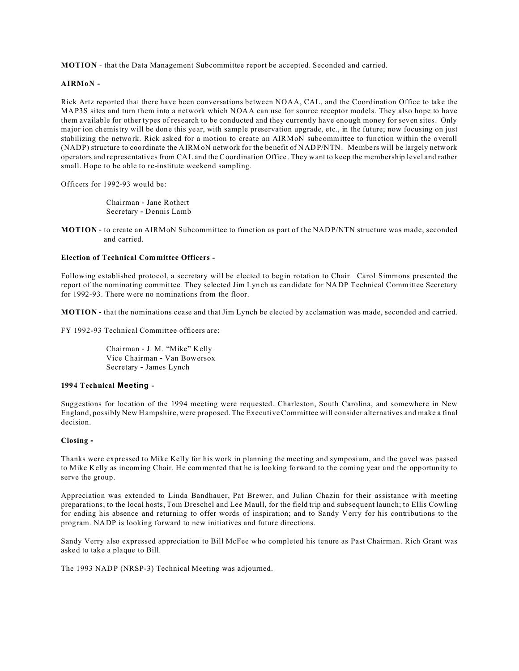**MOTION** - that the Data Management Subcommittee report be accepted. Seconded and carried.

## **AIRMoN -**

Rick Artz reported that there have been conversations between NOAA, CAL, and the Coordination Office to take the MAP3S sites and turn them into a network which NOAA can use for source receptor models. They also hope to have them available for other types of research to be conducted and they currently have enough money for seven sites. Only major ion chemistry will be done this year, with sample preservation upgrade, etc., in the future; now focusing on just stabilizing the network. Rick asked for a motion to create an AIRMoN subcommittee to function within the overall (NADP) structure to coordinate the AIRMoN network for the benefit of NADP/NTN. Members will be largely network operators and representatives from CAL and the Coordination Office. They want to keep the membership level and rather small. Hope to be able to re-institute weekend sampling.

Officers for 1992-93 would be:

Chairman - Jane Rothert Secretary - Dennis Lamb

**MOTION** - to create an AIRMoN Subcommittee to function as part of the NADP/NTN structure was made, seconded and carried.

#### **Election of Technical Committee Officers -**

Following established protocol, a secretary will be elected to begin rotation to Chair. Carol Simmons presented the report of the nominating committee. They selected Jim Lynch as candidate for NADP Technical Committee Secretary for 1992-93. There were no nominations from the floor.

**MOTION** - that the nominations cease and that Jim Lynch be elected by acclamation was made, seconded and carried.

FY 1992-93 Technical Committee officers are:

Chairman - J. M. "Mike" Kelly Vice Chairman - Van Bowersox Secretary - James Lynch

#### **1994 Technical Meeting -**

Suggestions for location of the 1994 meeting were requested. Charleston, South Carolina, and somewhere in New England, possibly New Hampshire, were proposed. The Executive Committee will consider alternatives and make a final decision.

### **Closing -**

Thanks were expressed to Mike Kelly for his work in planning the meeting and symposium, and the gavel was passed to Mike Kelly as incoming Chair. He commented that he is looking forward to the coming year and the opportunity to serve the group.

Appreciation was extended to Linda Bandhauer, Pat Brewer, and Julian Chazin for their assistance with meeting preparations; to the local hosts, Tom Dreschel and Lee Maull, for the field trip and subsequent launch; to Ellis Cowling for ending his absence and returning to offer words of inspiration; and to Sandy Verry for his contributions to the program. NADP is looking forward to new initiatives and future directions.

Sandy Verry also expressed appreciation to Bill McFee who completed his tenure as Past Chairman. Rich Grant was asked to take a plaque to Bill.

The 1993 NADP (NRSP-3) Technical Meeting was adjourned.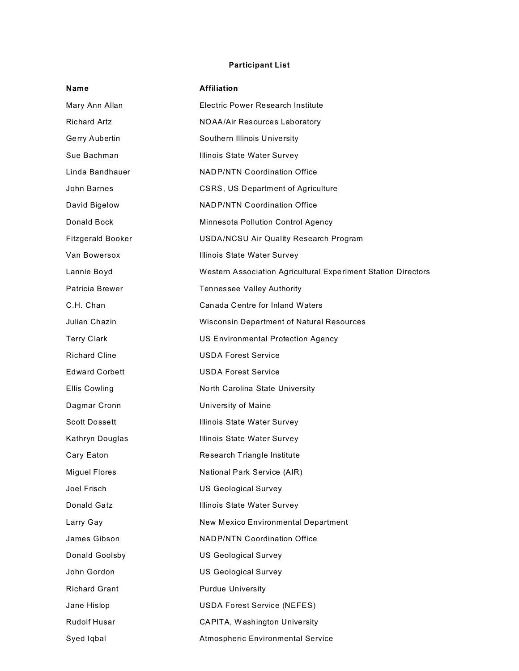# **Participant List**

| Name                     | <b>Affiliation</b>                                            |
|--------------------------|---------------------------------------------------------------|
| Mary Ann Allan           | <b>Electric Power Research Institute</b>                      |
| <b>Richard Artz</b>      | NOAA/Air Resources Laboratory                                 |
| Gerry Aubertin           | Southern Illinois University                                  |
| Sue Bachman              | Illinois State Water Survey                                   |
| Linda Bandhauer          | <b>NADP/NTN Coordination Office</b>                           |
| John Barnes              | CSRS, US Department of Agriculture                            |
| David Bigelow            | <b>NADP/NTN Coordination Office</b>                           |
| Donald Bock              | Minnesota Pollution Control Agency                            |
| <b>Fitzgerald Booker</b> | USDA/NCSU Air Quality Research Program                        |
| Van Bowersox             | Illinois State Water Survey                                   |
| Lannie Boyd              | Western Association Agricultural Experiment Station Directors |
| Patricia Brewer          | Tennessee Valley Authority                                    |
| C.H. Chan                | Canada Centre for Inland Waters                               |
| Julian Chazin            | <b>Wisconsin Department of Natural Resources</b>              |
| <b>Terry Clark</b>       | <b>US Environmental Protection Agency</b>                     |
| <b>Richard Cline</b>     | <b>USDA Forest Service</b>                                    |
| <b>Edward Corbett</b>    | <b>USDA Forest Service</b>                                    |
| <b>Ellis Cowling</b>     | North Carolina State University                               |
| Dagmar Cronn             | University of Maine                                           |
| <b>Scott Dossett</b>     | Illinois State Water Survey                                   |
| Kathryn Douglas          | Illinois State Water Survey                                   |
| Cary Eaton               | Research Triangle Institute                                   |
| <b>Miguel Flores</b>     | National Park Service (AIR)                                   |
| Joel Frisch              | <b>US Geological Survey</b>                                   |
| Donald Gatz              | Illinois State Water Survey                                   |
| Larry Gay                | <b>New Mexico Environmental Department</b>                    |
| James Gibson             | <b>NADP/NTN Coordination Office</b>                           |
| Donald Goolsby           | <b>US Geological Survey</b>                                   |
| John Gordon              | <b>US Geological Survey</b>                                   |
| <b>Richard Grant</b>     | <b>Purdue University</b>                                      |
| Jane Hislop              | <b>USDA Forest Service (NEFES)</b>                            |
| <b>Rudolf Husar</b>      | CAPITA, Washington University                                 |
| Syed Iqbal               | Atmospheric Environmental Service                             |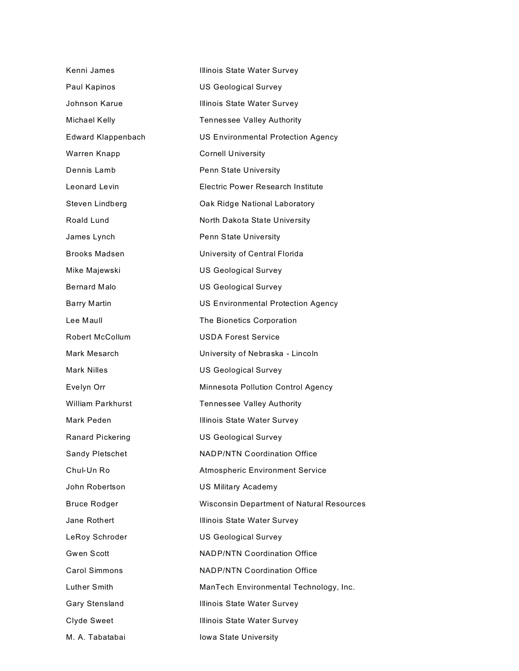| Kenni James              | Illinois State Water Survey                      |
|--------------------------|--------------------------------------------------|
| Paul Kapinos             | <b>US Geological Survey</b>                      |
| Johnson Karue            | Illinois State Water Survey                      |
| Michael Kelly            | Tennessee Valley Authority                       |
| Edward Klappenbach       | <b>US Environmental Protection Agency</b>        |
| Warren Knapp             | <b>Cornell University</b>                        |
| Dennis Lamb              | Penn State University                            |
| Leonard Levin            | Electric Power Research Institute                |
| Steven Lindberg          | Oak Ridge National Laboratory                    |
| Roald Lund               | North Dakota State University                    |
| James Lynch              | Penn State University                            |
| <b>Brooks Madsen</b>     | University of Central Florida                    |
| Mike Majewski            | <b>US Geological Survey</b>                      |
| Bernard Malo             | <b>US Geological Survey</b>                      |
| <b>Barry Martin</b>      | US Environmental Protection Agency               |
| Lee Maull                | The Bionetics Corporation                        |
| <b>Robert McCollum</b>   | <b>USDA Forest Service</b>                       |
| Mark Mesarch             | University of Nebraska - Lincoln                 |
| <b>Mark Nilles</b>       | <b>US Geological Survey</b>                      |
| Evelyn Orr               | Minnesota Pollution Control Agency               |
| <b>William Parkhurst</b> | Tennessee Valley Authority                       |
| Mark Peden               | Illinois State Water Survey                      |
| Ranard Pickering         | <b>US Geological Survey</b>                      |
| Sandy Pletschet          | <b>NADP/NTN Coordination Office</b>              |
| Chul-Un Ro               | <b>Atmospheric Environment Service</b>           |
| John Robertson           | <b>US Military Academy</b>                       |
| <b>Bruce Rodger</b>      | <b>Wisconsin Department of Natural Resources</b> |
| Jane Rothert             | Illinois State Water Survey                      |
| LeRoy Schroder           | <b>US Geological Survey</b>                      |
| Gwen Scott               | <b>NADP/NTN Coordination Office</b>              |
| <b>Carol Simmons</b>     | <b>NADP/NTN Coordination Office</b>              |
| Luther Smith             | ManTech Environmental Technology, Inc.           |
| Gary Stensland           | Illinois State Water Survey                      |
| Clyde Sweet              | Illinois State Water Survey                      |
| M. A. Tabatabai          | Iowa State University                            |